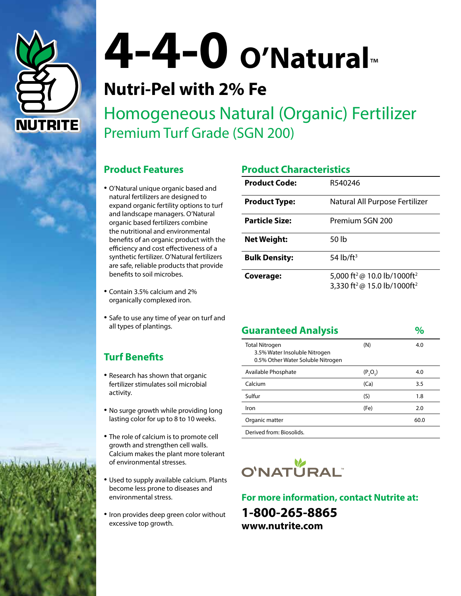

# **4-4-0 O'Natural**™

# **Nutri-Pel with 2% Fe**

Homogeneous Natural (Organic) Fertilizer Premium Turf Grade (SGN 200)

## **Product Features**

- O'Natural unique organic based and natural fertilizers are designed to expand organic fertility options to turf and landscape managers. O'Natural organic based fertilizers combine the nutritional and environmental benefits of an organic product with the efficiency and cost effectiveness of a synthetic fertilizer. O'Natural fertilizers are safe, reliable products that provide benefits to soil microbes.
- Contain 3.5% calcium and 2% organically complexed iron.
- Safe to use any time of year on turf and all types of plantings.

# **Turf Benefits**

- Research has shown that organic fertilizer stimulates soil microbial activity.
- No surge growth while providing long lasting color for up to 8 to 10 weeks.
- The role of calcium is to promote cell growth and strengthen cell walls. Calcium makes the plant more tolerant of environmental stresses.
- Used to supply available calcium. Plants become less prone to diseases and environmental stress.
- Iron provides deep green color without excessive top growth.

# **Product Characteristics**

| <b>Product Code:</b>  | R540246                                                                                                    |  |  |
|-----------------------|------------------------------------------------------------------------------------------------------------|--|--|
| <b>Product Type:</b>  | Natural All Purpose Fertilizer                                                                             |  |  |
| <b>Particle Size:</b> | Premium SGN 200                                                                                            |  |  |
| <b>Net Weight:</b>    | 50 lb                                                                                                      |  |  |
| <b>Bulk Density:</b>  | 54 $\frac{1}{2}$                                                                                           |  |  |
| Coverage:             | 5,000 ft <sup>2</sup> @ 10.0 lb/1000ft <sup>2</sup><br>3,330 ft <sup>2</sup> @ 15.0 lb/1000ft <sup>2</sup> |  |  |

| <b>Guaranteed Analysis</b>                                                                  |            |      |
|---------------------------------------------------------------------------------------------|------------|------|
| <b>Total Nitrogen</b><br>3.5% Water Insoluble Nitrogen<br>0.5% Other Water Soluble Nitrogen | (N)        | 4.0  |
| Available Phosphate                                                                         | $(P_2O_5)$ | 4.0  |
| Calcium                                                                                     | (Ca)       | 3.5  |
| Sulfur                                                                                      | (S)        | 1.8  |
| Iron                                                                                        | (Fe)       | 2.0  |
| Organic matter                                                                              |            | 60.0 |
| Derived from: Biosolids.                                                                    |            |      |



### **For more information, contact Nutrite at:**

**1-800-265-8865 www.nutrite.com**